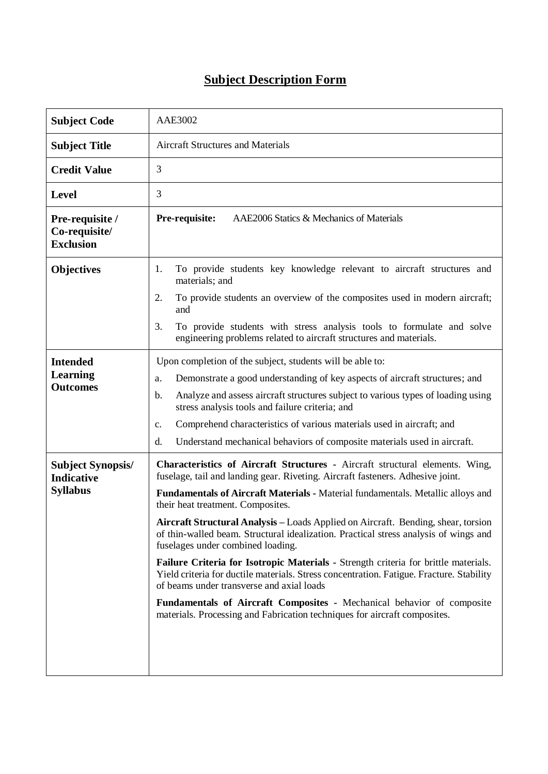## **Subject Description Form**

| <b>Subject Code</b>                                              | AAE3002                                                                                                                                                                                                                                                                                                                                                                                                                                                                                                                                                                                                                                                                                                                                                                                                                                                                                         |  |  |  |
|------------------------------------------------------------------|-------------------------------------------------------------------------------------------------------------------------------------------------------------------------------------------------------------------------------------------------------------------------------------------------------------------------------------------------------------------------------------------------------------------------------------------------------------------------------------------------------------------------------------------------------------------------------------------------------------------------------------------------------------------------------------------------------------------------------------------------------------------------------------------------------------------------------------------------------------------------------------------------|--|--|--|
| <b>Subject Title</b>                                             | <b>Aircraft Structures and Materials</b>                                                                                                                                                                                                                                                                                                                                                                                                                                                                                                                                                                                                                                                                                                                                                                                                                                                        |  |  |  |
| <b>Credit Value</b>                                              | 3                                                                                                                                                                                                                                                                                                                                                                                                                                                                                                                                                                                                                                                                                                                                                                                                                                                                                               |  |  |  |
| <b>Level</b>                                                     | 3                                                                                                                                                                                                                                                                                                                                                                                                                                                                                                                                                                                                                                                                                                                                                                                                                                                                                               |  |  |  |
| Pre-requisite /<br>Co-requisite/<br><b>Exclusion</b>             | AAE2006 Statics & Mechanics of Materials<br>Pre-requisite:                                                                                                                                                                                                                                                                                                                                                                                                                                                                                                                                                                                                                                                                                                                                                                                                                                      |  |  |  |
| <b>Objectives</b>                                                | To provide students key knowledge relevant to aircraft structures and<br>1.<br>materials; and                                                                                                                                                                                                                                                                                                                                                                                                                                                                                                                                                                                                                                                                                                                                                                                                   |  |  |  |
|                                                                  | To provide students an overview of the composites used in modern aircraft;<br>2.<br>and                                                                                                                                                                                                                                                                                                                                                                                                                                                                                                                                                                                                                                                                                                                                                                                                         |  |  |  |
|                                                                  | To provide students with stress analysis tools to formulate and solve<br>3.<br>engineering problems related to aircraft structures and materials.                                                                                                                                                                                                                                                                                                                                                                                                                                                                                                                                                                                                                                                                                                                                               |  |  |  |
| <b>Intended</b><br><b>Learning</b><br><b>Outcomes</b>            | Upon completion of the subject, students will be able to:<br>Demonstrate a good understanding of key aspects of aircraft structures; and<br>a.<br>Analyze and assess aircraft structures subject to various types of loading using<br>b.<br>stress analysis tools and failure criteria; and<br>Comprehend characteristics of various materials used in aircraft; and<br>$\mathbf{c}$ .<br>Understand mechanical behaviors of composite materials used in aircraft.<br>d.                                                                                                                                                                                                                                                                                                                                                                                                                        |  |  |  |
| <b>Subject Synopsis/</b><br><b>Indicative</b><br><b>Syllabus</b> | Characteristics of Aircraft Structures - Aircraft structural elements. Wing,<br>fuselage, tail and landing gear. Riveting. Aircraft fasteners. Adhesive joint.<br>Fundamentals of Aircraft Materials - Material fundamentals. Metallic alloys and<br>their heat treatment. Composites.<br>Aircraft Structural Analysis - Loads Applied on Aircraft. Bending, shear, torsion<br>of thin-walled beam. Structural idealization. Practical stress analysis of wings and<br>fuselages under combined loading.<br>Failure Criteria for Isotropic Materials - Strength criteria for brittle materials.<br>Yield criteria for ductile materials. Stress concentration. Fatigue. Fracture. Stability<br>of beams under transverse and axial loads<br>Fundamentals of Aircraft Composites - Mechanical behavior of composite<br>materials. Processing and Fabrication techniques for aircraft composites. |  |  |  |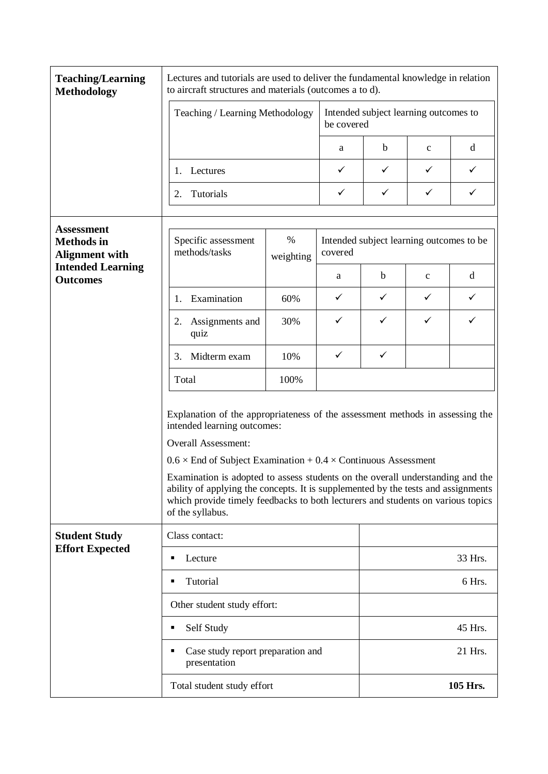| <b>Teaching/Learning</b><br><b>Methodology</b>                                                                 | Lectures and tutorials are used to deliver the fundamental knowledge in relation<br>to aircraft structures and materials (outcomes a to d). |                                                                                                                                                                                                                                                                                                                                                                                                                         |                                                     |                                       |              |   |
|----------------------------------------------------------------------------------------------------------------|---------------------------------------------------------------------------------------------------------------------------------------------|-------------------------------------------------------------------------------------------------------------------------------------------------------------------------------------------------------------------------------------------------------------------------------------------------------------------------------------------------------------------------------------------------------------------------|-----------------------------------------------------|---------------------------------------|--------------|---|
|                                                                                                                | Teaching / Learning Methodology<br>be covered                                                                                               |                                                                                                                                                                                                                                                                                                                                                                                                                         |                                                     | Intended subject learning outcomes to |              |   |
|                                                                                                                |                                                                                                                                             |                                                                                                                                                                                                                                                                                                                                                                                                                         | a                                                   | $\mathbf b$                           | $\mathbf{C}$ | d |
|                                                                                                                | Lectures<br>1.                                                                                                                              |                                                                                                                                                                                                                                                                                                                                                                                                                         | ✓                                                   | ✓                                     | $\checkmark$ | ✓ |
|                                                                                                                | Tutorials<br>2.                                                                                                                             |                                                                                                                                                                                                                                                                                                                                                                                                                         | ✓                                                   | ✓                                     | $\checkmark$ | ✓ |
| <b>Assessment</b><br><b>Methods</b> in<br><b>Alignment with</b><br><b>Intended Learning</b><br><b>Outcomes</b> | $\%$<br>Specific assessment<br>methods/tasks<br>weighting                                                                                   |                                                                                                                                                                                                                                                                                                                                                                                                                         | Intended subject learning outcomes to be<br>covered |                                       |              |   |
|                                                                                                                |                                                                                                                                             |                                                                                                                                                                                                                                                                                                                                                                                                                         | a                                                   | $\mathbf b$                           | $\mathbf{C}$ | d |
|                                                                                                                | Examination<br>1.                                                                                                                           | 60%                                                                                                                                                                                                                                                                                                                                                                                                                     | $\checkmark$                                        | ✓                                     | ✓            | ✓ |
|                                                                                                                | Assignments and<br>2.<br>quiz                                                                                                               | 30%                                                                                                                                                                                                                                                                                                                                                                                                                     | ✓                                                   | ✓                                     | ✓            | ✓ |
|                                                                                                                | 3.<br>Midterm exam                                                                                                                          | 10%                                                                                                                                                                                                                                                                                                                                                                                                                     | ✓                                                   | ✓                                     |              |   |
|                                                                                                                | Total                                                                                                                                       | 100%                                                                                                                                                                                                                                                                                                                                                                                                                    |                                                     |                                       |              |   |
|                                                                                                                | intended learning outcomes:<br>Overall Assessment:<br>of the syllabus.                                                                      | Explanation of the appropriateness of the assessment methods in assessing the<br>$0.6 \times$ End of Subject Examination + 0.4 $\times$ Continuous Assessment<br>Examination is adopted to assess students on the overall understanding and the<br>ability of applying the concepts. It is supplemented by the tests and assignments<br>which provide timely feedbacks to both lecturers and students on various topics |                                                     |                                       |              |   |
| <b>Student Study</b><br><b>Effort Expected</b>                                                                 | Class contact:                                                                                                                              |                                                                                                                                                                                                                                                                                                                                                                                                                         |                                                     |                                       |              |   |
|                                                                                                                | Lecture<br>٠                                                                                                                                |                                                                                                                                                                                                                                                                                                                                                                                                                         |                                                     | 33 Hrs.                               |              |   |
|                                                                                                                | Tutorial<br>٠                                                                                                                               |                                                                                                                                                                                                                                                                                                                                                                                                                         |                                                     | 6 Hrs.                                |              |   |
|                                                                                                                | Other student study effort:                                                                                                                 |                                                                                                                                                                                                                                                                                                                                                                                                                         |                                                     |                                       |              |   |
|                                                                                                                | Self Study<br>٠                                                                                                                             |                                                                                                                                                                                                                                                                                                                                                                                                                         |                                                     | 45 Hrs.                               |              |   |
|                                                                                                                | Case study report preparation and<br>٠<br>presentation                                                                                      |                                                                                                                                                                                                                                                                                                                                                                                                                         |                                                     |                                       | 21 Hrs.      |   |
|                                                                                                                | Total student study effort                                                                                                                  |                                                                                                                                                                                                                                                                                                                                                                                                                         |                                                     | 105 Hrs.                              |              |   |